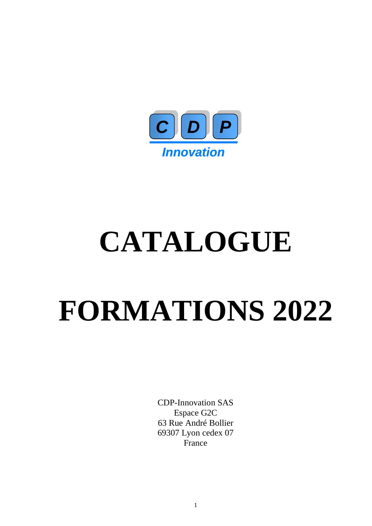

# **CATALOGUE**

## **FORMATIONS 2022**

CDP-Innovation SAS Espace G2C 63 Rue André Bollier 69307 Lyon cedex 07 France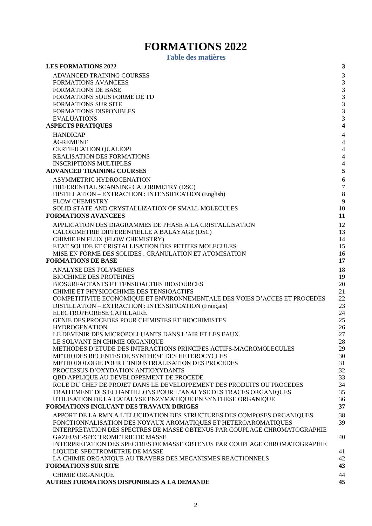### **FORMATIONS 2022**

**Table des matières**

<span id="page-1-0"></span>

| <b>LES FORMATIONS 2022</b>                                                                                                           | $\mathbf{3}$                             |
|--------------------------------------------------------------------------------------------------------------------------------------|------------------------------------------|
| ADVANCED TRAINING COURSES                                                                                                            | $\mathfrak{Z}$                           |
| <b>FORMATIONS AVANCEES</b>                                                                                                           | 3                                        |
| <b>FORMATIONS DE BASE</b>                                                                                                            | $\mathfrak{Z}$                           |
| FORMATIONS SOUS FORME DE TD                                                                                                          | $\mathfrak{Z}$                           |
| <b>FORMATIONS SUR SITE</b>                                                                                                           | $\mathfrak 3$                            |
| FORMATIONS DISPONIBLES                                                                                                               | $\sqrt{3}$                               |
| <b>EVALUATIONS</b><br><b>ASPECTS PRATIQUES</b>                                                                                       | $\mathfrak 3$<br>$\overline{\mathbf{4}}$ |
|                                                                                                                                      |                                          |
| <b>HANDICAP</b><br><b>AGREMENT</b>                                                                                                   | $\overline{4}$<br>$\overline{4}$         |
| <b>CERTIFICATION QUALIOPI</b>                                                                                                        | $\overline{4}$                           |
| REALISATION DES FORMATIONS                                                                                                           | $\overline{4}$                           |
| <b>INSCRIPTIONS MULTIPLES</b>                                                                                                        | $\overline{4}$                           |
| <b>ADVANCED TRAINING COURSES</b>                                                                                                     | $\sqrt{5}$                               |
| ASYMMETRIC HYDROGENATION                                                                                                             | 6                                        |
| DIFFERENTIAL SCANNING CALORIMETRY (DSC)                                                                                              | $\boldsymbol{7}$                         |
| DISTILLATION - EXTRACTION : INTENSIFICATION (English)                                                                                | $\,8\,$                                  |
| <b>FLOW CHEMISTRY</b>                                                                                                                | 9                                        |
| SOLID STATE AND CRYSTALLIZATION OF SMALL MOLECULES<br><b>FORMATIONS AVANCEES</b>                                                     | 10<br>11                                 |
|                                                                                                                                      |                                          |
| APPLICATION DES DIAGRAMMES DE PHASE A LA CRISTALLISATION                                                                             | 12<br>13                                 |
| CALORIMETRIE DIFFERENTIELLE A BALAYAGE (DSC)<br>CHIMIE EN FLUX (FLOW CHEMISTRY)                                                      | 14                                       |
| ETAT SOLIDE ET CRISTALLISATION DES PETITES MOLECULES                                                                                 | 15                                       |
| MISE EN FORME DES SOLIDES : GRANULATION ET ATOMISATION                                                                               | 16                                       |
| <b>FORMATIONS DE BASE</b>                                                                                                            | 17                                       |
| ANALYSE DES POLYMERES                                                                                                                | 18                                       |
| <b>BIOCHIMIE DES PROTEINES</b>                                                                                                       | 19                                       |
| BIOSURFACTANTS ET TENSIOACTIFS BIOSOURCES                                                                                            | 20                                       |
| CHIMIE ET PHYSICOCHIMIE DES TENSIOACTIFS                                                                                             | 21                                       |
| COMPETITIVITE ECONOMIQUE ET ENVIRONNEMENTALE DES VOIES D'ACCES ET PROCEDES<br>DISTILLATION - EXTRACTION : INTENSIFICATION (Français) | 22<br>23                                 |
| ELECTROPHORESE CAPILLAIRE                                                                                                            | 24                                       |
| GENIE DES PROCEDES POUR CHIMISTES ET BIOCHIMISTES                                                                                    | 25                                       |
| <b>HYDROGENATION</b>                                                                                                                 | 26                                       |
| LE DEVENIR DES MICROPOLLUANTS DANS L'AIR ET LES EAUX                                                                                 | 27                                       |
| LE SOLVANT EN CHIMIE ORGANIQUE                                                                                                       | 28                                       |
| METHODES D'ETUDE DES INTERACTIONS PRINCIPES ACTIFS-MACROMOLECULES                                                                    | 29                                       |
| METHODES RECENTES DE SYNTHESE DES HETEROCYCLES<br>METHODOLOGIE POUR L'INDUSTRIALISATION DES PROCEDES                                 | 30<br>31                                 |
| PROCESSUS D'OXYDATION ANTIOXYDANTS                                                                                                   | 32                                       |
| QBD APPLIQUE AU DEVELOPPEMENT DE PROCEDE                                                                                             | 33                                       |
| ROLE DU CHEF DE PROJET DANS LE DEVELOPPEMENT DES PRODUITS OU PROCEDES                                                                | 34                                       |
| TRAITEMENT DES ECHANTILLONS POUR L'ANALYSE DES TRACES ORGANIQUES                                                                     | 35                                       |
| UTILISATION DE LA CATALYSE ENZYMATIQUE EN SYNTHESE ORGANIQUE                                                                         | 36                                       |
| FORMATIONS INCLUANT DES TRAVAUX DIRIGES                                                                                              | 37                                       |
| APPORT DE LA RMN A L'ELUCIDATION DES STRUCTURES DES COMPOSES ORGANIQUES                                                              | 38                                       |
| FONCTIONNALISATION DES NOYAUX AROMATIQUES ET HETEROAROMATIQUES                                                                       | 39                                       |
| INTERPRETATION DES SPECTRES DE MASSE OBTENUS PAR COUPLAGE CHROMATOGRAPHIE                                                            | 40                                       |
| GAZEUSE-SPECTROMETRIE DE MASSE<br>INTERPRETATION DES SPECTRES DE MASSE OBTENUS PAR COUPLAGE CHROMATOGRAPHIE                          |                                          |
| LIQUIDE-SPECTROMETRIE DE MASSE                                                                                                       | 41                                       |
| LA CHIMIE ORGANIQUE AU TRAVERS DES MECANISMES REACTIONNELS                                                                           | 42                                       |
| <b>FORMATIONS SUR SITE</b>                                                                                                           | 43                                       |
| <b>CHIMIE ORGANIQUE</b>                                                                                                              | 44                                       |
| AUTRES FORMATIONS DISPONIBLES A LA DEMANDE                                                                                           | 45                                       |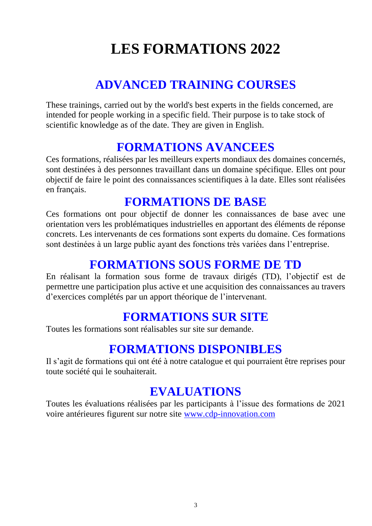## **LES FORMATIONS 2022**

## **ADVANCED TRAINING COURSES**

<span id="page-2-1"></span><span id="page-2-0"></span>These trainings, carried out by the world's best experts in the fields concerned, are intended for people working in a specific field. Their purpose is to take stock of scientific knowledge as of the date. They are given in English.

## **FORMATIONS AVANCEES**

<span id="page-2-2"></span>Ces formations, réalisées par les meilleurs experts mondiaux des domaines concernés, sont destinées à des personnes travaillant dans un domaine spécifique. Elles ont pour objectif de faire le point des connaissances scientifiques à la date. Elles sont réalisées en français.

## **FORMATIONS DE BASE**

<span id="page-2-3"></span>Ces formations ont pour objectif de donner les connaissances de base avec une orientation vers les problématiques industrielles en apportant des éléments de réponse concrets. Les intervenants de ces formations sont experts du domaine. Ces formations sont destinées à un large public ayant des fonctions très variées dans l'entreprise.

## **FORMATIONS SOUS FORME DE TD**

<span id="page-2-4"></span>En réalisant la formation sous forme de travaux dirigés (TD), l'objectif est de permettre une participation plus active et une acquisition des connaissances au travers d'exercices complétés par un apport théorique de l'intervenant.

## **FORMATIONS SUR SITE**

<span id="page-2-5"></span>Toutes les formations sont réalisables sur site sur demande.

## **FORMATIONS DISPONIBLES**

<span id="page-2-6"></span>Il s'agit de formations qui ont été à notre catalogue et qui pourraient être reprises pour toute société qui le souhaiterait.

## **EVALUATIONS**

<span id="page-2-7"></span>Toutes les évaluations réalisées par les participants à l'issue des formations de 2021 voire antérieures figurent sur notre site [www.cdp-innovation.com](http://www.cdp-innovation.com/)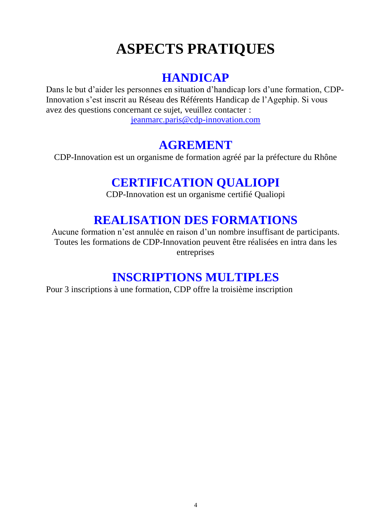## **ASPECTS PRATIQUES**

## **HANDICAP**

<span id="page-3-1"></span><span id="page-3-0"></span>Dans le but d'aider les personnes en situation d'handicap lors d'une formation, CDP-Innovation s'est inscrit au Réseau des Référents Handicap de l'Agephip. Si vous avez des questions concernant ce sujet, veuillez contacter : [jeanmarc.paris@cdp-innovation.com](mailto:jeanmarc.paris@cdp-innovation.com)

## **AGREMENT**

<span id="page-3-3"></span><span id="page-3-2"></span>CDP-Innovation est un organisme de formation agréé par la préfecture du Rhône

## **CERTIFICATION QUALIOPI**

CDP-Innovation est un organisme certifié Qualiopi

## **REALISATION DES FORMATIONS**

<span id="page-3-4"></span>Aucune formation n'est annulée en raison d'un nombre insuffisant de participants. Toutes les formations de CDP-Innovation peuvent être réalisées en intra dans les entreprises

## **INSCRIPTIONS MULTIPLES**

<span id="page-3-5"></span>Pour 3 inscriptions à une formation, CDP offre la troisième inscription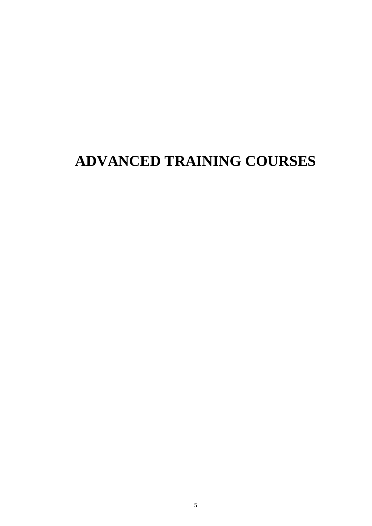## <span id="page-4-0"></span>**ADVANCED TRAINING COURSES**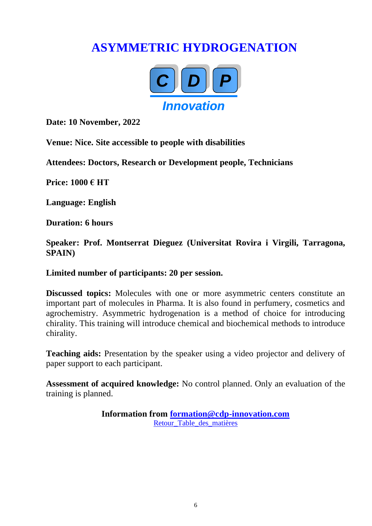## <span id="page-5-0"></span>**ASYMMETRIC HYDROGENATION**



**Date: 10 November, 2022**

**Venue: Nice. Site accessible to people with disabilities**

**Attendees: Doctors, Research or Development people, Technicians**

**Price: 1000 € HT**

**Language: English**

**Duration: 6 hours**

**Speaker: Prof. Montserrat Dieguez (Universitat Rovira i Virgili, Tarragona, SPAIN)**

#### **Limited number of participants: 20 per session.**

**Discussed topics:** Molecules with one or more asymmetric centers constitute an important part of molecules in Pharma. It is also found in perfumery, cosmetics and agrochemistry. Asymmetric hydrogenation is a method of choice for introducing chirality. This training will introduce chemical and biochemical methods to introduce chirality.

**Teaching aids:** Presentation by the speaker using a video projector and delivery of paper support to each participant.

**Assessment of acquired knowledge:** No control planned. Only an evaluation of the training is planned.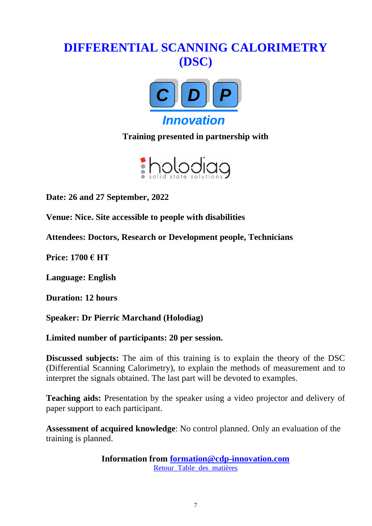## <span id="page-6-0"></span>**DIFFERENTIAL SCANNING CALORIMETRY (DSC)**



**Training presented in partnership with**



**Date: 26 and 27 September, 2022**

**Venue: Nice. Site accessible to people with disabilities**

**Attendees: Doctors, Research or Development people, Technicians**

**Price: 1700 € HT**

**Language: English**

**Duration: 12 hours**

**Speaker: Dr Pierric Marchand (Holodiag)**

**Limited number of participants: 20 per session.**

**Discussed subjects:** The aim of this training is to explain the theory of the DSC (Differential Scanning Calorimetry), to explain the methods of measurement and to interpret the signals obtained. The last part will be devoted to examples.

**Teaching aids:** Presentation by the speaker using a video projector and delivery of paper support to each participant.

**Assessment of acquired knowledge**: No control planned. Only an evaluation of the training is planned.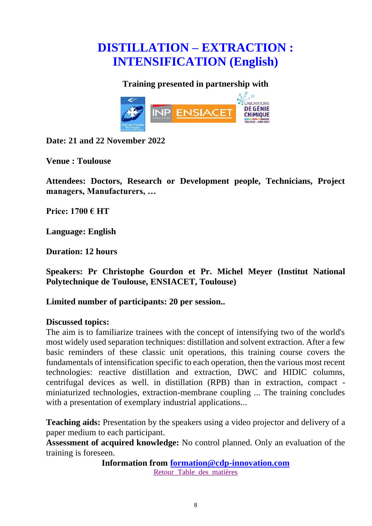## <span id="page-7-0"></span>**DISTILLATION – EXTRACTION : INTENSIFICATION (English)**

#### **Training presented in partnership with**



**Date: 21 and 22 November 2022**

**Venue : Toulouse**

**Attendees: Doctors, Research or Development people, Technicians, Project managers, Manufacturers, …**

**Price: 1700 € HT**

**Language: English**

**Duration: 12 hours**

**Speakers: Pr Christophe Gourdon et Pr. Michel Meyer (Institut National Polytechnique de Toulouse, ENSIACET, Toulouse)**

**Limited number of participants: 20 per session..** 

#### **Discussed topics:**

The aim is to familiarize trainees with the concept of intensifying two of the world's most widely used separation techniques: distillation and solvent extraction. After a few basic reminders of these classic unit operations, this training course covers the fundamentals of intensification specific to each operation, then the various most recent technologies: reactive distillation and extraction, DWC and HIDIC columns, centrifugal devices as well. in distillation (RPB) than in extraction, compact miniaturized technologies, extraction-membrane coupling ... The training concludes with a presentation of exemplary industrial applications...

**Teaching aids:** Presentation by the speakers using a video projector and delivery of a paper medium to each participant.

**Assessment of acquired knowledge:** No control planned. Only an evaluation of the training is foreseen.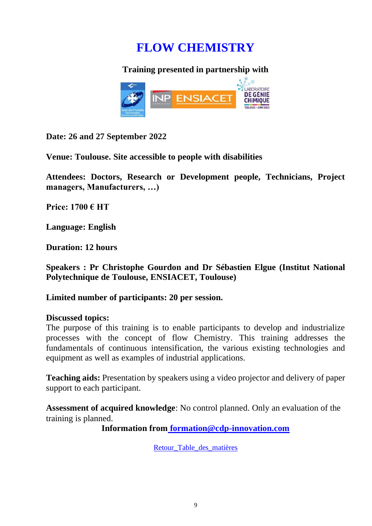## **FLOW CHEMISTRY**

#### **Training presented in partnership with**

<span id="page-8-0"></span>

**Date: 26 and 27 September 2022**

**Venue: Toulouse. Site accessible to people with disabilities**

**Attendees: Doctors, Research or Development people, Technicians, Project managers, Manufacturers, …)**

**Price: 1700 € HT**

**Language: English**

**Duration: 12 hours**

**Speakers : Pr Christophe Gourdon and Dr Sébastien Elgue (Institut National Polytechnique de Toulouse, ENSIACET, Toulouse)**

**Limited number of participants: 20 per session.**

#### **Discussed topics:**

The purpose of this training is to enable participants to develop and industrialize processes with the concept of flow Chemistry. This training addresses the fundamentals of continuous intensification, the various existing technologies and equipment as well as examples of industrial applications.

**Teaching aids:** Presentation by speakers using a video projector and delivery of paper support to each participant.

**Assessment of acquired knowledge**: No control planned. Only an evaluation of the training is planned.

**Information from [formation@cdp-innovation.com](mailto:formation@cdp-innovation.com)**

Retour Table des matières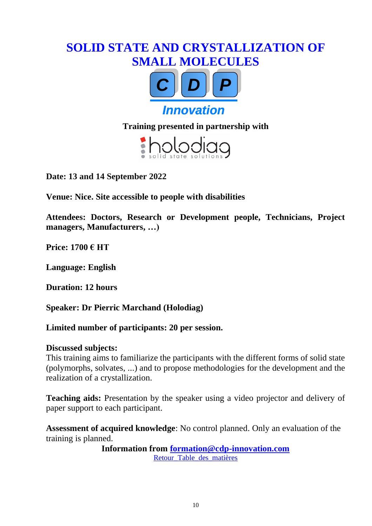## <span id="page-9-0"></span>**SOLID STATE AND CRYSTALLIZATION OF SMALL MOLECULES**



**Training presented in partnership with**



**Date: 13 and 14 September 2022**

**Venue: Nice. Site accessible to people with disabilities**

**Attendees: Doctors, Research or Development people, Technicians, Project managers, Manufacturers, …)**

**Price: 1700 € HT**

**Language: English**

**Duration: 12 hours**

**Speaker: Dr Pierric Marchand (Holodiag)**

**Limited number of participants: 20 per session.**

#### **Discussed subjects:**

This training aims to familiarize the participants with the different forms of solid state (polymorphs, solvates, ...) and to propose methodologies for the development and the realization of a crystallization.

**Teaching aids:** Presentation by the speaker using a video projector and delivery of paper support to each participant.

**Assessment of acquired knowledge**: No control planned. Only an evaluation of the training is planned.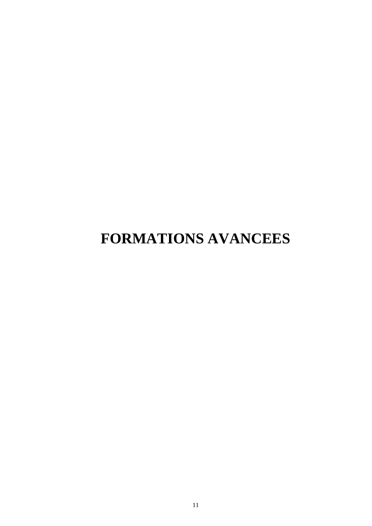## <span id="page-10-0"></span>**FORMATIONS AVANCEES**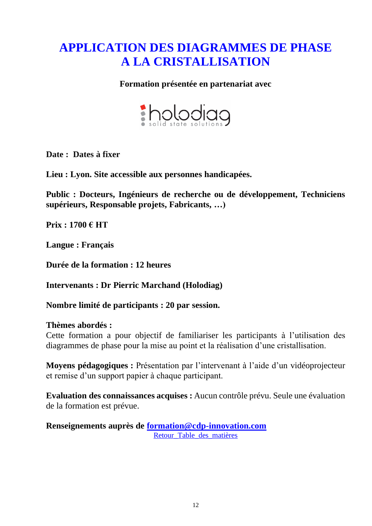## <span id="page-11-0"></span>**APPLICATION DES DIAGRAMMES DE PHASE A LA CRISTALLISATION**

#### **Formation présentée en partenariat avec**



**Date : Dates à fixer**

**Lieu : Lyon. Site accessible aux personnes handicapées.**

**Public : Docteurs, Ingénieurs de recherche ou de développement, Techniciens supérieurs, Responsable projets, Fabricants, …)**

**Prix : 1700 € HT**

**Langue : Français**

**Durée de la formation : 12 heures**

**Intervenants : Dr Pierric Marchand (Holodiag)**

**Nombre limité de participants : 20 par session.**

#### **Thèmes abordés :**

Cette formation a pour objectif de familiariser les participants à l'utilisation des diagrammes de phase pour la mise au point et la réalisation d'une cristallisation.

**Moyens pédagogiques :** Présentation par l'intervenant à l'aide d'un vidéoprojecteur et remise d'un support papier à chaque participant.

**Evaluation des connaissances acquises :** Aucun contrôle prévu. Seule une évaluation de la formation est prévue.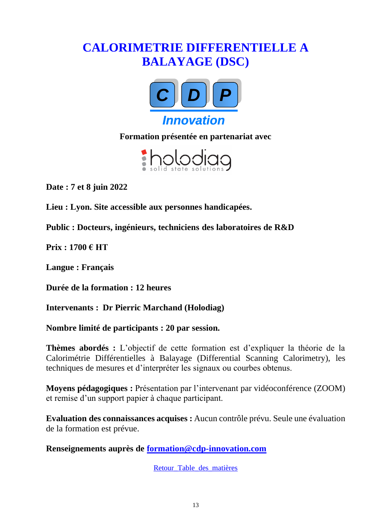## <span id="page-12-0"></span>**CALORIMETRIE DIFFERENTIELLE A BALAYAGE (DSC)**



**Formation présentée en partenariat avec**



**Date : 7 et 8 juin 2022**

**Lieu : Lyon. Site accessible aux personnes handicapées.**

**Public : Docteurs, ingénieurs, techniciens des laboratoires de R&D**

**Prix : 1700 € HT**

**Langue : Français**

**Durée de la formation : 12 heures**

**Intervenants : Dr Pierric Marchand (Holodiag)**

**Nombre limité de participants : 20 par session.** 

**Thèmes abordés :** L'objectif de cette formation est d'expliquer la théorie de la Calorimétrie Différentielles à Balayage (Differential Scanning Calorimetry), les techniques de mesures et d'interpréter les signaux ou courbes obtenus.

**Moyens pédagogiques :** Présentation par l'intervenant par vidéoconférence (ZOOM) et remise d'un support papier à chaque participant.

**Evaluation des connaissances acquises :** Aucun contrôle prévu. Seule une évaluation de la formation est prévue.

**Renseignements auprès de [formation@cdp-innovation.com](mailto:formation@cdp-innovation.com)**

[Retour\\_Table\\_des\\_matières](#page-1-0)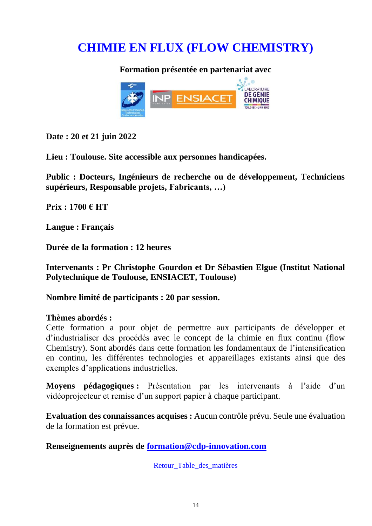## <span id="page-13-0"></span>**CHIMIE EN FLUX (FLOW CHEMISTRY)**

**Formation présentée en partenariat avec**



**Date : 20 et 21 juin 2022**

**Lieu : Toulouse. Site accessible aux personnes handicapées.**

**Public : Docteurs, Ingénieurs de recherche ou de développement, Techniciens supérieurs, Responsable projets, Fabricants, …)**

**Prix : 1700 € HT**

**Langue : Français**

**Durée de la formation : 12 heures**

**Intervenants : Pr Christophe Gourdon et Dr Sébastien Elgue (Institut National Polytechnique de Toulouse, ENSIACET, Toulouse)**

**Nombre limité de participants : 20 par session.** 

#### **Thèmes abordés :**

Cette formation a pour objet de permettre aux participants de développer et d'industrialiser des procédés avec le concept de la chimie en flux continu (flow Chemistry). Sont abordés dans cette formation les fondamentaux de l'intensification en continu, les différentes technologies et appareillages existants ainsi que des exemples d'applications industrielles.

**Moyens pédagogiques :** Présentation par les intervenants à l'aide d'un vidéoprojecteur et remise d'un support papier à chaque participant.

**Evaluation des connaissances acquises :** Aucun contrôle prévu. Seule une évaluation de la formation est prévue.

**Renseignements auprès de [formation@cdp-innovation.com](mailto:formation@cdp-innovation.com)**

Retour Table des matières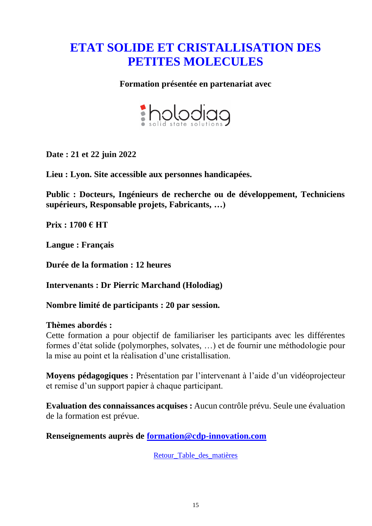## <span id="page-14-0"></span>**ETAT SOLIDE ET CRISTALLISATION DES PETITES MOLECULES**

#### **Formation présentée en partenariat avec**



**Date : 21 et 22 juin 2022**

**Lieu : Lyon. Site accessible aux personnes handicapées.**

**Public : Docteurs, Ingénieurs de recherche ou de développement, Techniciens supérieurs, Responsable projets, Fabricants, …)**

**Prix : 1700 € HT**

**Langue : Français**

**Durée de la formation : 12 heures**

**Intervenants : Dr Pierric Marchand (Holodiag)**

**Nombre limité de participants : 20 par session.**

#### **Thèmes abordés :**

Cette formation a pour objectif de familiariser les participants avec les différentes formes d'état solide (polymorphes, solvates, …) et de fournir une méthodologie pour la mise au point et la réalisation d'une cristallisation.

**Moyens pédagogiques :** Présentation par l'intervenant à l'aide d'un vidéoprojecteur et remise d'un support papier à chaque participant.

**Evaluation des connaissances acquises :** Aucun contrôle prévu. Seule une évaluation de la formation est prévue.

**Renseignements auprès de [formation@cdp-innovation.com](mailto:formation@cdp-innovation.com)**

Retour Table des matières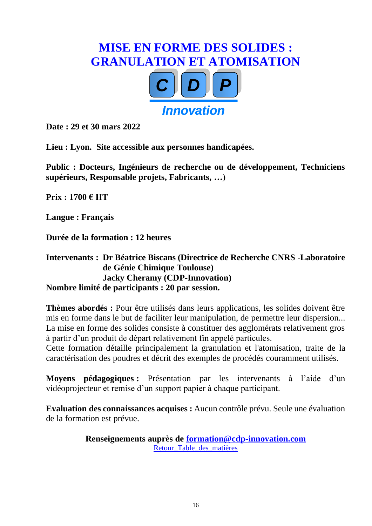## <span id="page-15-0"></span>**MISE EN FORME DES SOLIDES : GRANULATION ET ATOMISATION** *CC DD PP Innovation*

**Date : 29 et 30 mars 2022**

**Lieu : Lyon. Site accessible aux personnes handicapées.**

**Public : Docteurs, Ingénieurs de recherche ou de développement, Techniciens supérieurs, Responsable projets, Fabricants, …)**

**Prix : 1700 € HT**

**Langue : Français**

**Durée de la formation : 12 heures**

#### **Intervenants : Dr Béatrice Biscans (Directrice de Recherche CNRS -Laboratoire de Génie Chimique Toulouse) Jacky Cheramy (CDP-Innovation) Nombre limité de participants : 20 par session.**

**Thèmes abordés :** Pour être utilisés dans leurs applications, les solides doivent être mis en forme dans le but de faciliter leur manipulation, de permettre leur dispersion... La mise en forme des solides consiste à constituer des agglomérats relativement gros à partir d'un produit de départ relativement fin appelé particules.

Cette formation détaille principalement la granulation et l'atomisation, traite de la caractérisation des poudres et décrit des exemples de procédés couramment utilisés.

**Moyens pédagogiques :** Présentation par les intervenants à l'aide d'un vidéoprojecteur et remise d'un support papier à chaque participant.

**Evaluation des connaissances acquises :** Aucun contrôle prévu. Seule une évaluation de la formation est prévue.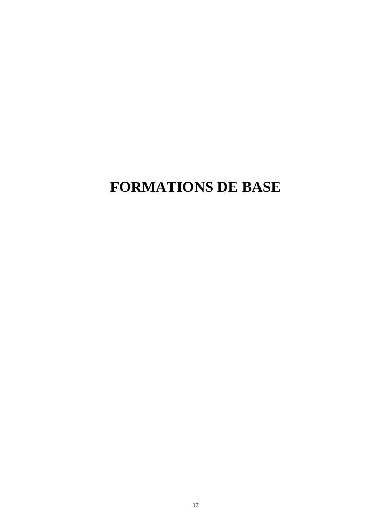## <span id="page-16-0"></span>**FORMATIONS DE BASE**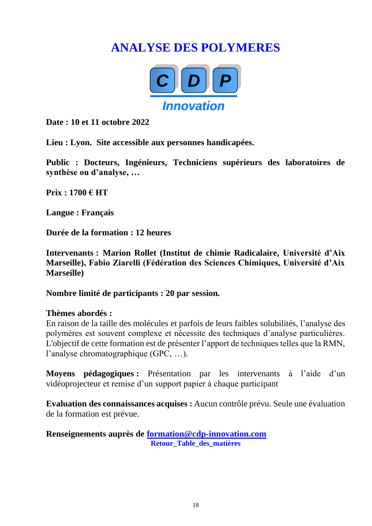## <span id="page-17-0"></span>**ANALYSE DES POLYMERES**



**Date : 10 et 11 octobre 2022**

**Lieu : Lyon. Site accessible aux personnes handicapées.**

**Public : Docteurs, Ingénieurs, Techniciens supérieurs des laboratoires de synthèse ou d'analyse, …**

**Prix : 1700 € HT**

**Langue : Français**

**Durée de la formation : 12 heures**

**Intervenants : Marion Rollet (Institut de chimie Radicalaire, Université d'Aix Marseille), Fabio Ziarelli (Fédération des Sciences Chimiques, Université d'Aix Marseille)**

**Nombre limité de participants : 20 par session.** 

#### **Thèmes abordés :**

En raison de la taille des molécules et parfois de leurs faibles solubilités, l'analyse des polymères est souvent complexe et nécessite des techniques d'analyse particulières. L'objectif de cette formation est de présenter l'apport de techniques telles que la RMN, l'analyse chromatographique (GPC, …).

**Moyens pédagogiques :** Présentation par les intervenants à l'aide d'un vidéoprojecteur et remise d'un support papier à chaque participant

**Evaluation des connaissances acquises :** Aucun contrôle prévu. Seule une évaluation de la formation est prévue.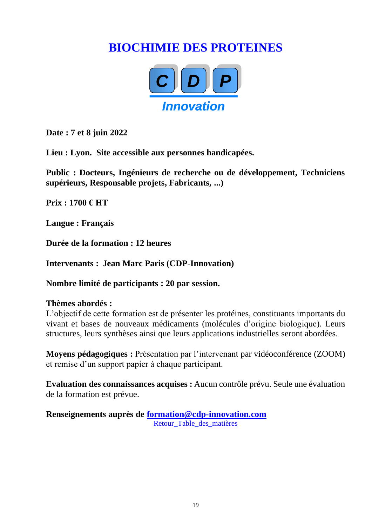## <span id="page-18-0"></span>**BIOCHIMIE DES PROTEINES**



**Date : 7 et 8 juin 2022**

**Lieu : Lyon. Site accessible aux personnes handicapées.**

**Public : Docteurs, Ingénieurs de recherche ou de développement, Techniciens supérieurs, Responsable projets, Fabricants, ...)**

**Prix : 1700 € HT**

**Langue : Français**

**Durée de la formation : 12 heures**

**Intervenants : Jean Marc Paris (CDP-Innovation)**

**Nombre limité de participants : 20 par session.**

#### **Thèmes abordés :**

L'objectif de cette formation est de présenter les protéines, constituants importants du vivant et bases de nouveaux médicaments (molécules d'origine biologique). Leurs structures, leurs synthèses ainsi que leurs applications industrielles seront abordées.

**Moyens pédagogiques :** Présentation par l'intervenant par vidéoconférence (ZOOM) et remise d'un support papier à chaque participant.

**Evaluation des connaissances acquises :** Aucun contrôle prévu. Seule une évaluation de la formation est prévue.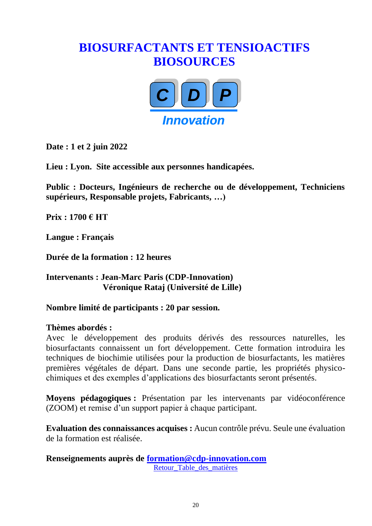## <span id="page-19-0"></span>**BIOSURFACTANTS ET TENSIOACTIFS BIOSOURCES**



**Date : 1 et 2 juin 2022**

**Lieu : Lyon. Site accessible aux personnes handicapées.** 

**Public : Docteurs, Ingénieurs de recherche ou de développement, Techniciens supérieurs, Responsable projets, Fabricants, …)**

**Prix : 1700 € HT**

**Langue : Français**

**Durée de la formation : 12 heures**

#### **Intervenants : Jean-Marc Paris (CDP-Innovation) Véronique Rataj (Université de Lille)**

#### **Nombre limité de participants : 20 par session.**

#### **Thèmes abordés :**

Avec le développement des produits dérivés des ressources naturelles, les biosurfactants connaissent un fort développement. Cette formation introduira les techniques de biochimie utilisées pour la production de biosurfactants, les matières premières végétales de départ. Dans une seconde partie, les propriétés physicochimiques et des exemples d'applications des biosurfactants seront présentés.

**Moyens pédagogiques :** Présentation par les intervenants par vidéoconférence (ZOOM) et remise d'un support papier à chaque participant.

**Evaluation des connaissances acquises :** Aucun contrôle prévu. Seule une évaluation de la formation est réalisée.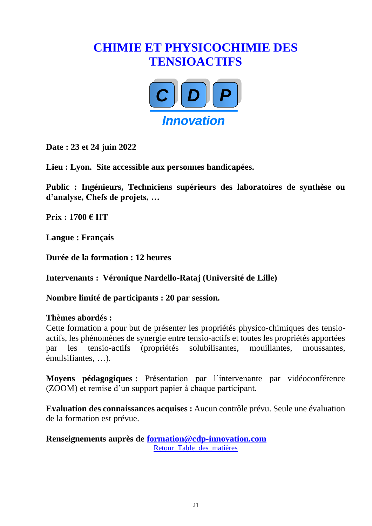## <span id="page-20-0"></span>**CHIMIE ET PHYSICOCHIMIE DES TENSIOACTIFS**



**Date : 23 et 24 juin 2022**

**Lieu : Lyon. Site accessible aux personnes handicapées.**

**Public : Ingénieurs, Techniciens supérieurs des laboratoires de synthèse ou d'analyse, Chefs de projets, …**

**Prix : 1700 € HT** 

**Langue : Français**

**Durée de la formation : 12 heures**

**Intervenants : Véronique Nardello-Rataj (Université de Lille)**

**Nombre limité de participants : 20 par session.**

#### **Thèmes abordés :**

Cette formation a pour but de présenter les propriétés physico-chimiques des tensioactifs, les phénomènes de synergie entre tensio-actifs et toutes les propriétés apportées par les tensio-actifs (propriétés solubilisantes, mouillantes, moussantes, émulsifiantes, …).

**Moyens pédagogiques :** Présentation par l'intervenante par vidéoconférence (ZOOM) et remise d'un support papier à chaque participant.

**Evaluation des connaissances acquises :** Aucun contrôle prévu. Seule une évaluation de la formation est prévue.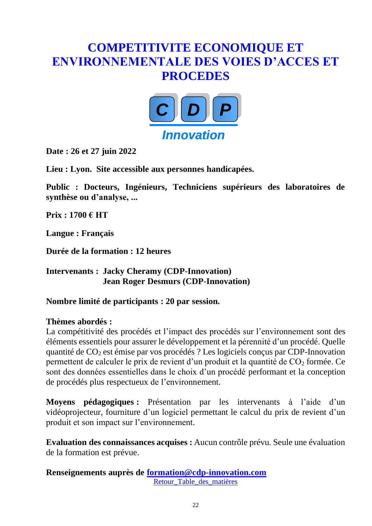## <span id="page-21-0"></span>**COMPETITIVITE ECONOMIQUE ET ENVIRONNEMENTALE DES VOIES D'ACCES ET PROCEDES**



**Date : 26 et 27 juin 2022**

**Lieu : Lyon. Site accessible aux personnes handicapées.**

**Public : Docteurs, Ingénieurs, Techniciens supérieurs des laboratoires de synthèse ou d'analyse, ...**

**Prix : 1700 € HT**

**Langue : Français**

**Durée de la formation : 12 heures**

**Intervenants : Jacky Cheramy (CDP-Innovation) Jean Roger Desmurs (CDP-Innovation)**

**Nombre limité de participants : 20 par session.** 

#### **Thèmes abordés :**

La compétitivité des procédés et l'impact des procédés sur l'environnement sont des éléments essentiels pour assurer le développement et la pérennité d'un procédé. Quelle quantité de  $CO<sub>2</sub>$  est émise par vos procédés ? Les logiciels conçus par CDP-Innovation permettent de calculer le prix de revient d'un produit et la quantité de  $CO<sub>2</sub>$  formée. Ce sont des données essentielles dans le choix d'un procédé performant et la conception de procédés plus respectueux de l'environnement.

**Moyens pédagogiques :** Présentation par les intervenants à l'aide d'un vidéoprojecteur, fourniture d'un logiciel permettant le calcul du prix de revient d'un produit et son impact sur l'environnement.

**Evaluation des connaissances acquises :** Aucun contrôle prévu. Seule une évaluation de la formation est prévue.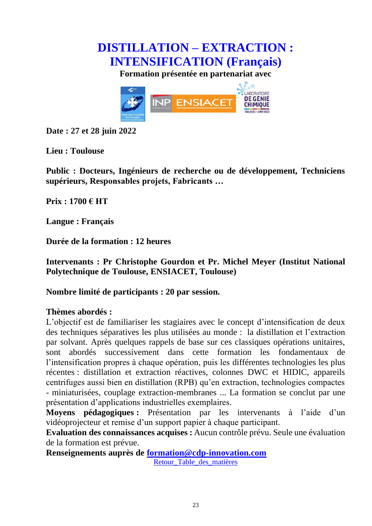<span id="page-22-0"></span>

**Formation présentée en partenariat avec**



**Date : 27 et 28 juin 2022**

**Lieu : Toulouse**

**Public : Docteurs, Ingénieurs de recherche ou de développement, Techniciens supérieurs, Responsables projets, Fabricants …**

**Prix : 1700 € HT**

**Langue : Français**

**Durée de la formation : 12 heures**

**Intervenants : Pr Christophe Gourdon et Pr. Michel Meyer (Institut National Polytechnique de Toulouse, ENSIACET, Toulouse)**

**Nombre limité de participants : 20 par session.** 

#### **Thèmes abordés :**

L'objectif est de familiariser les stagiaires avec le concept d'intensification de deux des techniques séparatives les plus utilisées au monde : la distillation et l'extraction par solvant. Après quelques rappels de base sur ces classiques opérations unitaires, sont abordés successivement dans cette formation les fondamentaux de l'intensification propres à chaque opération, puis les différentes technologies les plus récentes : distillation et extraction réactives, colonnes DWC et HIDIC, appareils centrifuges aussi bien en distillation (RPB) qu'en extraction, technologies compactes - miniaturisées, couplage extraction-membranes ... La formation se conclut par une présentation d'applications industrielles exemplaires.

**Moyens pédagogiques :** Présentation par les intervenants à l'aide d'un vidéoprojecteur et remise d'un support papier à chaque participant.

**Evaluation des connaissances acquises :** Aucun contrôle prévu. Seule une évaluation de la formation est prévue.

**Renseignements auprès de [formation@cdp-innovation.com](mailto:formation@cdp-innovation.com)**

Retour Table des matières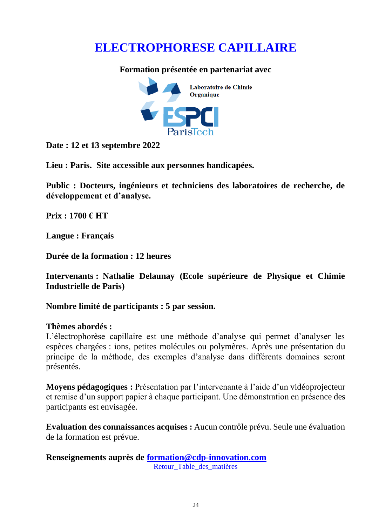## <span id="page-23-0"></span>**ELECTROPHORESE CAPILLAIRE**

#### **Formation présentée en partenariat avec**



**Date : 12 et 13 septembre 2022**

**Lieu : Paris. Site accessible aux personnes handicapées.**

**Public : Docteurs, ingénieurs et techniciens des laboratoires de recherche, de développement et d'analyse.** 

**Prix : 1700 € HT**

**Langue : Français**

**Durée de la formation : 12 heures**

**Intervenants : Nathalie Delaunay (Ecole supérieure de Physique et Chimie Industrielle de Paris)**

**Nombre limité de participants : 5 par session.** 

#### **Thèmes abordés :**

L'électrophorèse capillaire est une méthode d'analyse qui permet d'analyser les espèces chargées : ions, petites molécules ou polymères. Après une présentation du principe de la méthode, des exemples d'analyse dans différents domaines seront présentés.

**Moyens pédagogiques :** Présentation par l'intervenante à l'aide d'un vidéoprojecteur et remise d'un support papier à chaque participant. Une démonstration en présence des participants est envisagée.

**Evaluation des connaissances acquises :** Aucun contrôle prévu. Seule une évaluation de la formation est prévue.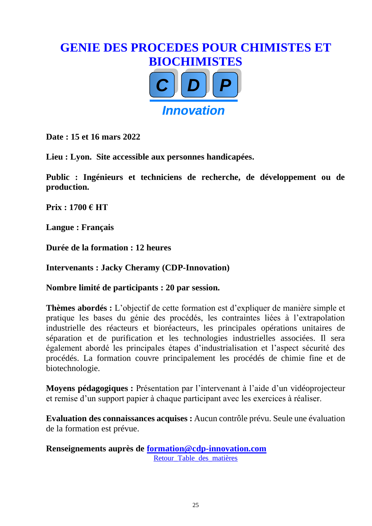## <span id="page-24-0"></span>**GENIE DES PROCEDES POUR CHIMISTES ET BIOCHIMISTES** *CC DD PP Innovation*

**Date : 15 et 16 mars 2022**

**Lieu : Lyon. Site accessible aux personnes handicapées.**

**Public : Ingénieurs et techniciens de recherche, de développement ou de production.** 

**Prix : 1700 € HT**

**Langue : Français**

**Durée de la formation : 12 heures**

**Intervenants : Jacky Cheramy (CDP-Innovation)**

**Nombre limité de participants : 20 par session.** 

**Thèmes abordés :** L'objectif de cette formation est d'expliquer de manière simple et pratique les bases du génie des procédés, les contraintes liées à l'extrapolation industrielle des réacteurs et bioréacteurs, les principales opérations unitaires de séparation et de purification et les technologies industrielles associées. Il sera également abordé les principales étapes d'industrialisation et l'aspect sécurité des procédés. La formation couvre principalement les procédés de chimie fine et de biotechnologie.

**Moyens pédagogiques :** Présentation par l'intervenant à l'aide d'un vidéoprojecteur et remise d'un support papier à chaque participant avec les exercices à réaliser.

**Evaluation des connaissances acquises :** Aucun contrôle prévu. Seule une évaluation de la formation est prévue.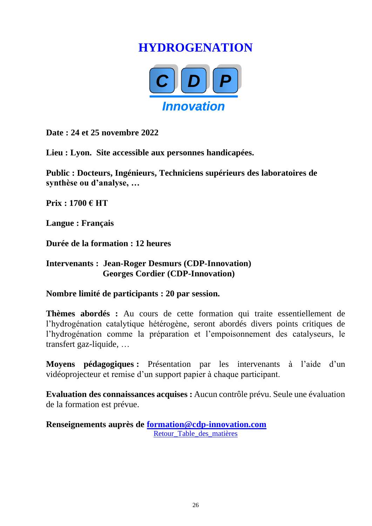## **HYDROGENATION**



<span id="page-25-0"></span>**Date : 24 et 25 novembre 2022**

**Lieu : Lyon. Site accessible aux personnes handicapées.**

**Public : Docteurs, Ingénieurs, Techniciens supérieurs des laboratoires de synthèse ou d'analyse, …**

**Prix : 1700 € HT**

**Langue : Français**

**Durée de la formation : 12 heures**

#### **Intervenants : Jean-Roger Desmurs (CDP-Innovation) Georges Cordier (CDP-Innovation)**

**Nombre limité de participants : 20 par session.** 

**Thèmes abordés :** Au cours de cette formation qui traite essentiellement de l'hydrogénation catalytique hétérogène, seront abordés divers points critiques de l'hydrogénation comme la préparation et l'empoisonnement des catalyseurs, le transfert gaz-liquide, …

**Moyens pédagogiques :** Présentation par les intervenants à l'aide d'un vidéoprojecteur et remise d'un support papier à chaque participant.

**Evaluation des connaissances acquises :** Aucun contrôle prévu. Seule une évaluation de la formation est prévue.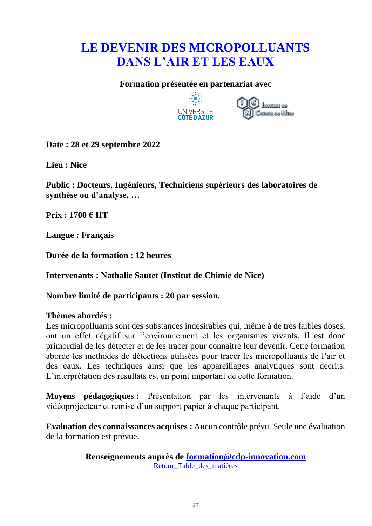## <span id="page-26-0"></span>**LE DEVENIR DES MICROPOLLUANTS DANS L'AIR ET LES EAUX**

#### **Formation présentée en partenariat avec**





**Date : 28 et 29 septembre 2022**

**Lieu : Nice**

**Public : Docteurs, Ingénieurs, Techniciens supérieurs des laboratoires de synthèse ou d'analyse, …**

**Prix : 1700 € HT**

**Langue : Français**

**Durée de la formation : 12 heures**

**Intervenants : Nathalie Sautet (Institut de Chimie de Nice)**

**Nombre limité de participants : 20 par session.** 

#### **Thèmes abordés :**

Les micropolluants sont des substances indésirables qui, même à de très faibles doses, ont un effet négatif sur l'environnement et les organismes vivants. Il est donc primordial de les détecter et de les tracer pour connaitre leur devenir. Cette formation aborde les méthodes de détections utilisées pour tracer les micropolluants de l'air et des eaux. Les techniques ainsi que les appareillages analytiques sont décrits. L'interprétation des résultats est un point important de cette formation.

**Moyens pédagogiques :** Présentation par les intervenants à l'aide d'un vidéoprojecteur et remise d'un support papier à chaque participant.

**Evaluation des connaissances acquises :** Aucun contrôle prévu. Seule une évaluation de la formation est prévue.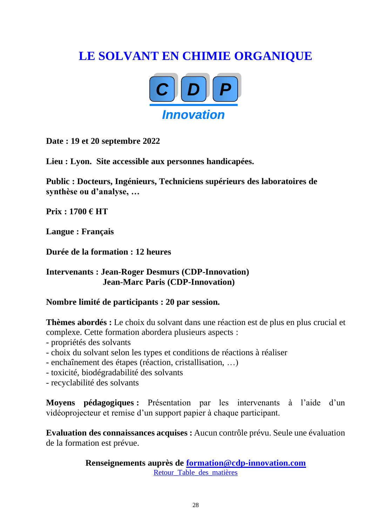## <span id="page-27-0"></span>**LE SOLVANT EN CHIMIE ORGANIQUE**



**Date : 19 et 20 septembre 2022**

**Lieu : Lyon. Site accessible aux personnes handicapées.**

**Public : Docteurs, Ingénieurs, Techniciens supérieurs des laboratoires de synthèse ou d'analyse, …**

**Prix : 1700 € HT**

**Langue : Français**

**Durée de la formation : 12 heures**

**Intervenants : Jean-Roger Desmurs (CDP-Innovation) Jean-Marc Paris (CDP-Innovation)**

**Nombre limité de participants : 20 par session.** 

**Thèmes abordés :** Le choix du solvant dans une réaction est de plus en plus crucial et complexe. Cette formation abordera plusieurs aspects :

- propriétés des solvants
- choix du solvant selon les types et conditions de réactions à réaliser
- enchaînement des étapes (réaction, cristallisation, …)
- toxicité, biodégradabilité des solvants
- recyclabilité des solvants

**Moyens pédagogiques :** Présentation par les intervenants à l'aide d'un vidéoprojecteur et remise d'un support papier à chaque participant.

**Evaluation des connaissances acquises :** Aucun contrôle prévu. Seule une évaluation de la formation est prévue.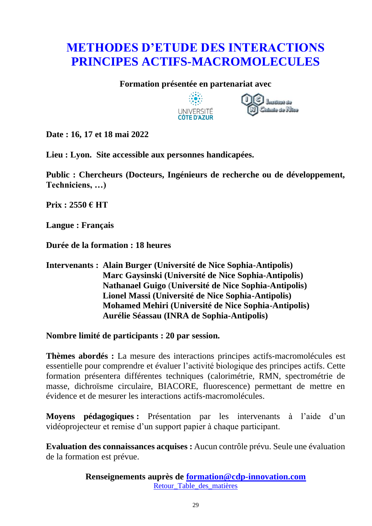## <span id="page-28-0"></span>**METHODES D'ETUDE DES INTERACTIONS PRINCIPES ACTIFS-MACROMOLECULES**

#### **Formation présentée en partenariat avec**





**Date : 16, 17 et 18 mai 2022**

**Lieu : Lyon. Site accessible aux personnes handicapées.**

**Public : Chercheurs (Docteurs, Ingénieurs de recherche ou de développement, Techniciens, …)**

**Prix : 2550 € HT**

**Langue : Français**

**Durée de la formation : 18 heures**

#### **Intervenants : Alain Burger (Université de Nice Sophia-Antipolis) Marc Gaysinski (Université de Nice Sophia-Antipolis) Nathanael Guigo** (**Université de Nice Sophia-Antipolis) Lionel Massi (Université de Nice Sophia-Antipolis) Mohamed Mehiri (Université de Nice Sophia-Antipolis) Aurélie Séassau (INRA de Sophia-Antipolis)**

**Nombre limité de participants : 20 par session.** 

**Thèmes abordés :** La mesure des interactions principes actifs-macromolécules est essentielle pour comprendre et évaluer l'activité biologique des principes actifs. Cette formation présentera différentes techniques (calorimétrie, RMN, spectrométrie de masse, dichroïsme circulaire, BIACORE, fluorescence) permettant de mettre en évidence et de mesurer les interactions actifs-macromolécules.

**Moyens pédagogiques :** Présentation par les intervenants à l'aide d'un vidéoprojecteur et remise d'un support papier à chaque participant.

**Evaluation des connaissances acquises :** Aucun contrôle prévu. Seule une évaluation de la formation est prévue.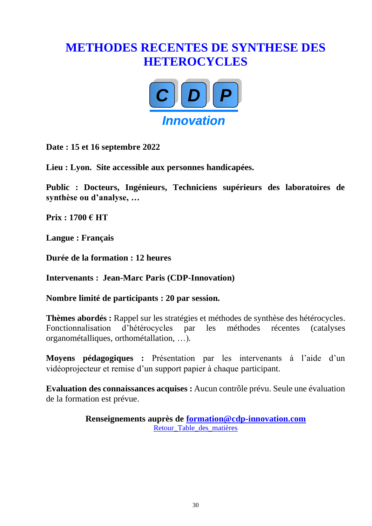## <span id="page-29-0"></span>**METHODES RECENTES DE SYNTHESE DES HETEROCYCLES**



**Date : 15 et 16 septembre 2022**

**Lieu : Lyon. Site accessible aux personnes handicapées.**

**Public : Docteurs, Ingénieurs, Techniciens supérieurs des laboratoires de synthèse ou d'analyse, …**

**Prix : 1700 € HT**

**Langue : Français**

**Durée de la formation : 12 heures**

**Intervenants : Jean-Marc Paris (CDP-Innovation)**

**Nombre limité de participants : 20 par session.** 

**Thèmes abordés :** Rappel sur les stratégies et méthodes de synthèse des hétérocycles. Fonctionnalisation d'hétérocycles par les méthodes récentes (catalyses organométalliques, orthométallation, …).

**Moyens pédagogiques :** Présentation par les intervenants à l'aide d'un vidéoprojecteur et remise d'un support papier à chaque participant.

**Evaluation des connaissances acquises :** Aucun contrôle prévu. Seule une évaluation de la formation est prévue.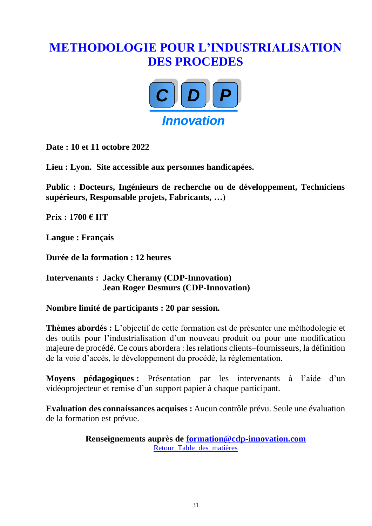## <span id="page-30-0"></span>**METHODOLOGIE POUR L'INDUSTRIALISATION DES PROCEDES**



**Date : 10 et 11 octobre 2022**

**Lieu : Lyon. Site accessible aux personnes handicapées.**

**Public : Docteurs, Ingénieurs de recherche ou de développement, Techniciens supérieurs, Responsable projets, Fabricants, …)**

**Prix : 1700 € HT**

**Langue : Français**

**Durée de la formation : 12 heures**

#### **Intervenants : Jacky Cheramy (CDP-Innovation) Jean Roger Desmurs (CDP-Innovation)**

**Nombre limité de participants : 20 par session.**

**Thèmes abordés :** L'objectif de cette formation est de présenter une méthodologie et des outils pour l'industrialisation d'un nouveau produit ou pour une modification majeure de procédé. Ce cours abordera : les relations clients–fournisseurs, la définition de la voie d'accès, le développement du procédé, la réglementation.

**Moyens pédagogiques :** Présentation par les intervenants à l'aide d'un vidéoprojecteur et remise d'un support papier à chaque participant.

**Evaluation des connaissances acquises :** Aucun contrôle prévu. Seule une évaluation de la formation est prévue.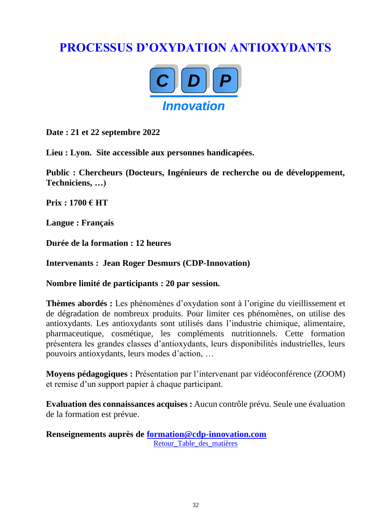## <span id="page-31-0"></span>**PROCESSUS D'OXYDATION ANTIOXYDANTS**



**Date : 21 et 22 septembre 2022**

**Lieu : Lyon. Site accessible aux personnes handicapées.**

**Public : Chercheurs (Docteurs, Ingénieurs de recherche ou de développement, Techniciens, …)**

**Prix : 1700 € HT**

**Langue : Français**

**Durée de la formation : 12 heures**

**Intervenants : Jean Roger Desmurs (CDP-Innovation)**

**Nombre limité de participants : 20 par session.** 

**Thèmes abordés :** Les phénomènes d'oxydation sont à l'origine du vieillissement et de dégradation de nombreux produits. Pour limiter ces phénomènes, on utilise des antioxydants. Les antioxydants sont utilisés dans l'industrie chimique, alimentaire, pharmaceutique, cosmétique, les compléments nutritionnels. Cette formation présentera les grandes classes d'antioxydants, leurs disponibilités industrielles, leurs pouvoirs antioxydants, leurs modes d'action, …

**Moyens pédagogiques :** Présentation par l'intervenant par vidéoconférence (ZOOM) et remise d'un support papier à chaque participant.

**Evaluation des connaissances acquises :** Aucun contrôle prévu. Seule une évaluation de la formation est prévue.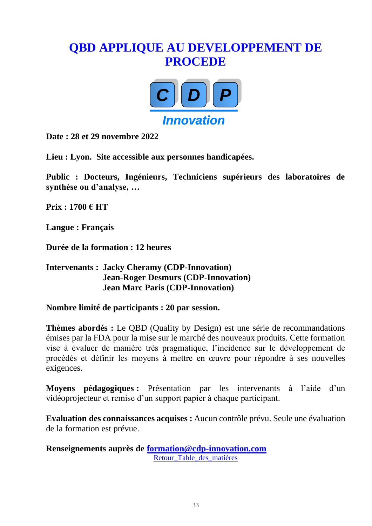## <span id="page-32-0"></span>**QBD APPLIQUE AU DEVELOPPEMENT DE PROCEDE**



**Date : 28 et 29 novembre 2022**

**Lieu : Lyon. Site accessible aux personnes handicapées.**

**Public : Docteurs, Ingénieurs, Techniciens supérieurs des laboratoires de synthèse ou d'analyse, …**

**Prix : 1700 € HT** 

**Langue : Français**

**Durée de la formation : 12 heures**

#### **Intervenants : Jacky Cheramy (CDP-Innovation) Jean-Roger Desmurs (CDP-Innovation) Jean Marc Paris (CDP-Innovation)**

**Nombre limité de participants : 20 par session.** 

**Thèmes abordés :** Le QBD (Quality by Design) est une série de recommandations émises par la FDA pour la mise sur le marché des nouveaux produits. Cette formation vise à évaluer de manière très pragmatique, l'incidence sur le développement de procédés et définir les moyens à mettre en œuvre pour répondre à ses nouvelles exigences.

**Moyens pédagogiques :** Présentation par les intervenants à l'aide d'un vidéoprojecteur et remise d'un support papier à chaque participant.

**Evaluation des connaissances acquises :** Aucun contrôle prévu. Seule une évaluation de la formation est prévue.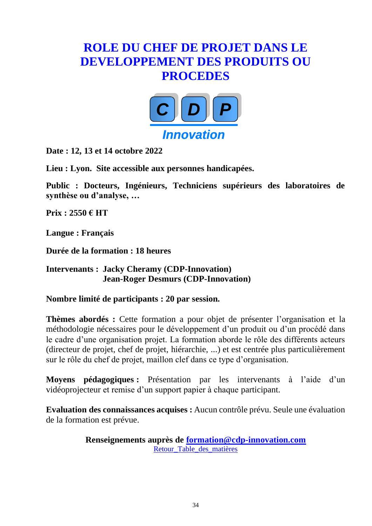## <span id="page-33-0"></span>**ROLE DU CHEF DE PROJET DANS LE DEVELOPPEMENT DES PRODUITS OU PROCEDES**



**Date : 12, 13 et 14 octobre 2022**

**Lieu : Lyon. Site accessible aux personnes handicapées.**

**Public : Docteurs, Ingénieurs, Techniciens supérieurs des laboratoires de synthèse ou d'analyse, …**

**Prix : 2550 € HT** 

**Langue : Français**

**Durée de la formation : 18 heures**

**Intervenants : Jacky Cheramy (CDP-Innovation) Jean-Roger Desmurs (CDP-Innovation)**

**Nombre limité de participants : 20 par session.** 

**Thèmes abordés :** Cette formation a pour objet de présenter l'organisation et la méthodologie nécessaires pour le développement d'un produit ou d'un procédé dans le cadre d'une organisation projet. La formation aborde le rôle des différents acteurs (directeur de projet, chef de projet, hiérarchie, ...) et est centrée plus particulièrement sur le rôle du chef de projet, maillon clef dans ce type d'organisation.

**Moyens pédagogiques :** Présentation par les intervenants à l'aide d'un vidéoprojecteur et remise d'un support papier à chaque participant.

**Evaluation des connaissances acquises :** Aucun contrôle prévu. Seule une évaluation de la formation est prévue.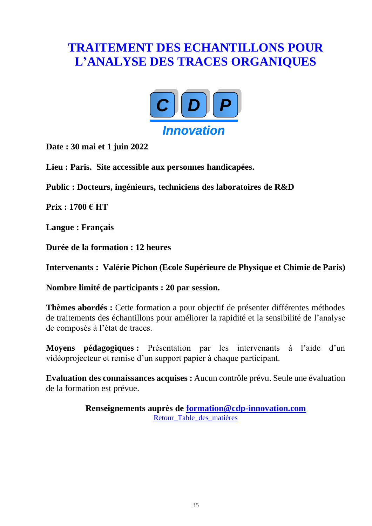## <span id="page-34-0"></span>**TRAITEMENT DES ECHANTILLONS POUR L'ANALYSE DES TRACES ORGANIQUES**



**Date : 30 mai et 1 juin 2022**

**Lieu : Paris. Site accessible aux personnes handicapées.**

**Public : Docteurs, ingénieurs, techniciens des laboratoires de R&D**

**Prix : 1700 € HT**

**Langue : Français**

**Durée de la formation : 12 heures**

**Intervenants : Valérie Pichon (Ecole Supérieure de Physique et Chimie de Paris)**

**Nombre limité de participants : 20 par session.** 

**Thèmes abordés :** Cette formation a pour objectif de présenter différentes méthodes de traitements des échantillons pour améliorer la rapidité et la sensibilité de l'analyse de composés à l'état de traces.

**Moyens pédagogiques :** Présentation par les intervenants à l'aide d'un vidéoprojecteur et remise d'un support papier à chaque participant.

**Evaluation des connaissances acquises :** Aucun contrôle prévu. Seule une évaluation de la formation est prévue.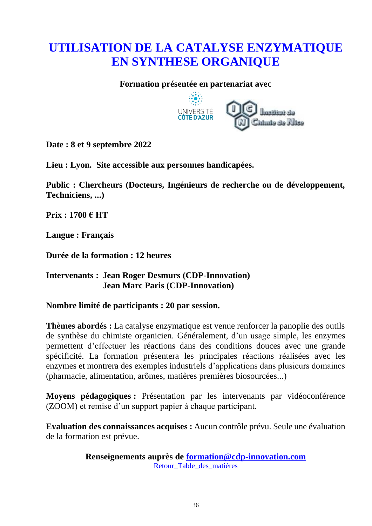## <span id="page-35-0"></span>**UTILISATION DE LA CATALYSE ENZYMATIQUE EN SYNTHESE ORGANIQUE**

#### **Formation présentée en partenariat avec**



**Date : 8 et 9 septembre 2022**

**Lieu : Lyon. Site accessible aux personnes handicapées.**

**Public : Chercheurs (Docteurs, Ingénieurs de recherche ou de développement, Techniciens, ...)**

**Prix : 1700 € HT**

**Langue : Français**

**Durée de la formation : 12 heures**

#### **Intervenants : Jean Roger Desmurs (CDP-Innovation) Jean Marc Paris (CDP-Innovation)**

**Nombre limité de participants : 20 par session.**

**Thèmes abordés :** La catalyse enzymatique est venue renforcer la panoplie des outils de synthèse du chimiste organicien. Généralement, d'un usage simple, les enzymes permettent d'effectuer les réactions dans des conditions douces avec une grande spécificité. La formation présentera les principales réactions réalisées avec les enzymes et montrera des exemples industriels d'applications dans plusieurs domaines (pharmacie, alimentation, arômes, matières premières biosourcées...)

**Moyens pédagogiques :** Présentation par les intervenants par vidéoconférence (ZOOM) et remise d'un support papier à chaque participant.

**Evaluation des connaissances acquises :** Aucun contrôle prévu. Seule une évaluation de la formation est prévue.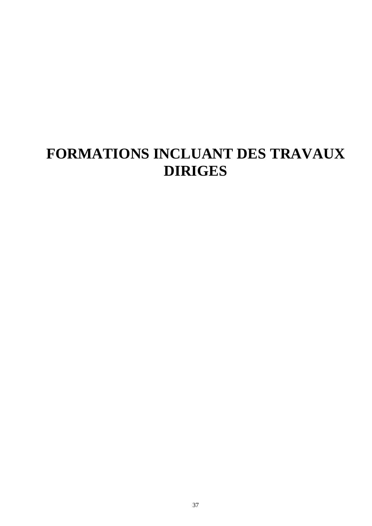## <span id="page-36-0"></span>**FORMATIONS INCLUANT DES TRAVAUX DIRIGES**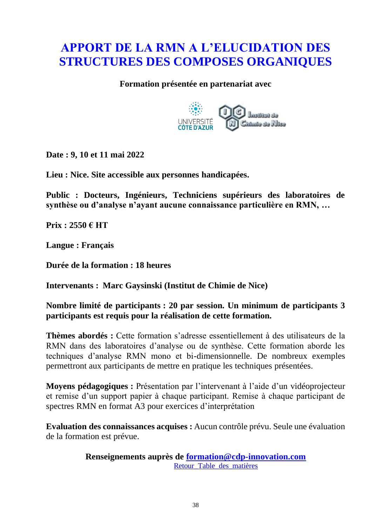## <span id="page-37-0"></span>**APPORT DE LA RMN A L'ELUCIDATION DES STRUCTURES DES COMPOSES ORGANIQUES**

#### **Formation présentée en partenariat avec**



**Date : 9, 10 et 11 mai 2022**

**Lieu : Nice. Site accessible aux personnes handicapées.**

**Public : Docteurs, Ingénieurs, Techniciens supérieurs des laboratoires de synthèse ou d'analyse n'ayant aucune connaissance particulière en RMN, …**

**Prix : 2550 € HT**

**Langue : Français**

**Durée de la formation : 18 heures** 

**Intervenants : Marc Gaysinski (Institut de Chimie de Nice)**

**Nombre limité de participants : 20 par session. Un minimum de participants 3 participants est requis pour la réalisation de cette formation.**

**Thèmes abordés :** Cette formation s'adresse essentiellement à des utilisateurs de la RMN dans des laboratoires d'analyse ou de synthèse. Cette formation aborde les techniques d'analyse RMN mono et bi-dimensionnelle. De nombreux exemples permettront aux participants de mettre en pratique les techniques présentées.

**Moyens pédagogiques :** Présentation par l'intervenant à l'aide d'un vidéoprojecteur et remise d'un support papier à chaque participant. Remise à chaque participant de spectres RMN en format A3 pour exercices d'interprétation

**Evaluation des connaissances acquises :** Aucun contrôle prévu. Seule une évaluation de la formation est prévue.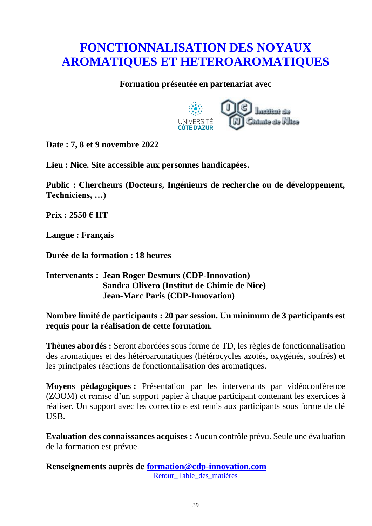## <span id="page-38-0"></span>**FONCTIONNALISATION DES NOYAUX AROMATIQUES ET HETEROAROMATIQUES**

#### **Formation présentée en partenariat avec**



**Date : 7, 8 et 9 novembre 2022**

**Lieu : Nice. Site accessible aux personnes handicapées.**

**Public : Chercheurs (Docteurs, Ingénieurs de recherche ou de développement, Techniciens, …)**

**Prix : 2550 € HT**

**Langue : Français**

**Durée de la formation : 18 heures**

#### **Intervenants : Jean Roger Desmurs (CDP-Innovation) Sandra Olivero (Institut de Chimie de Nice) Jean-Marc Paris (CDP-Innovation)**

**Nombre limité de participants : 20 par session. Un minimum de 3 participants est requis pour la réalisation de cette formation.**

**Thèmes abordés :** Seront abordées sous forme de TD, les règles de fonctionnalisation des aromatiques et des hétéroaromatiques (hétérocycles azotés, oxygénés, soufrés) et les principales réactions de fonctionnalisation des aromatiques.

**Moyens pédagogiques :** Présentation par les intervenants par vidéoconférence (ZOOM) et remise d'un support papier à chaque participant contenant les exercices à réaliser. Un support avec les corrections est remis aux participants sous forme de clé USB.

**Evaluation des connaissances acquises :** Aucun contrôle prévu. Seule une évaluation de la formation est prévue.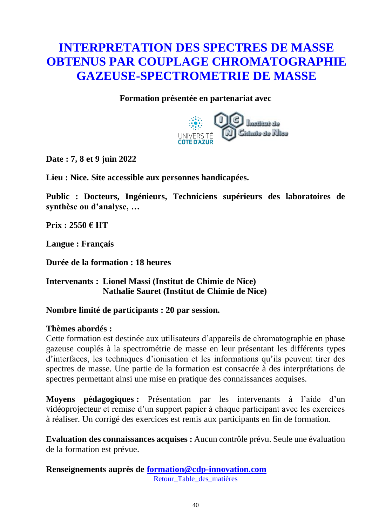## <span id="page-39-0"></span>**INTERPRETATION DES SPECTRES DE MASSE OBTENUS PAR COUPLAGE CHROMATOGRAPHIE GAZEUSE-SPECTROMETRIE DE MASSE**

**Formation présentée en partenariat avec**



**Date : 7, 8 et 9 juin 2022**

**Lieu : Nice. Site accessible aux personnes handicapées.**

**Public : Docteurs, Ingénieurs, Techniciens supérieurs des laboratoires de synthèse ou d'analyse, …**

**Prix : 2550 € HT**

**Langue : Français**

**Durée de la formation : 18 heures**

**Intervenants : Lionel Massi (Institut de Chimie de Nice) Nathalie Sauret (Institut de Chimie de Nice)**

#### **Nombre limité de participants : 20 par session.**

#### **Thèmes abordés :**

Cette formation est destinée aux utilisateurs d'appareils de chromatographie en phase gazeuse couplés à la spectrométrie de masse en leur présentant les différents types d'interfaces, les techniques d'ionisation et les informations qu'ils peuvent tirer des spectres de masse. Une partie de la formation est consacrée à des interprétations de spectres permettant ainsi une mise en pratique des connaissances acquises.

**Moyens pédagogiques :** Présentation par les intervenants à l'aide d'un vidéoprojecteur et remise d'un support papier à chaque participant avec les exercices à réaliser. Un corrigé des exercices est remis aux participants en fin de formation.

**Evaluation des connaissances acquises :** Aucun contrôle prévu. Seule une évaluation de la formation est prévue.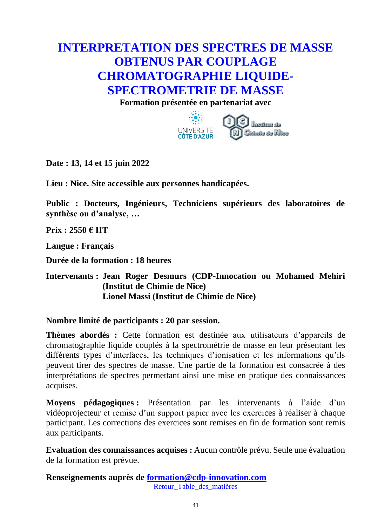## <span id="page-40-0"></span>**INTERPRETATION DES SPECTRES DE MASSE OBTENUS PAR COUPLAGE CHROMATOGRAPHIE LIQUIDE-SPECTROMETRIE DE MASSE**

**Formation présentée en partenariat avec**



**Date : 13, 14 et 15 juin 2022**

**Lieu : Nice. Site accessible aux personnes handicapées.**

**Public : Docteurs, Ingénieurs, Techniciens supérieurs des laboratoires de synthèse ou d'analyse, …**

**Prix : 2550 € HT**

**Langue : Français**

**Durée de la formation : 18 heures**

#### **Intervenants : Jean Roger Desmurs (CDP-Innocation ou Mohamed Mehiri (Institut de Chimie de Nice) Lionel Massi (Institut de Chimie de Nice)**

#### **Nombre limité de participants : 20 par session.**

**Thèmes abordés :** Cette formation est destinée aux utilisateurs d'appareils de chromatographie liquide couplés à la spectrométrie de masse en leur présentant les différents types d'interfaces, les techniques d'ionisation et les informations qu'ils peuvent tirer des spectres de masse. Une partie de la formation est consacrée à des interprétations de spectres permettant ainsi une mise en pratique des connaissances acquises.

**Moyens pédagogiques :** Présentation par les intervenants à l'aide d'un vidéoprojecteur et remise d'un support papier avec les exercices à réaliser à chaque participant. Les corrections des exercices sont remises en fin de formation sont remis aux participants.

**Evaluation des connaissances acquises :** Aucun contrôle prévu. Seule une évaluation de la formation est prévue.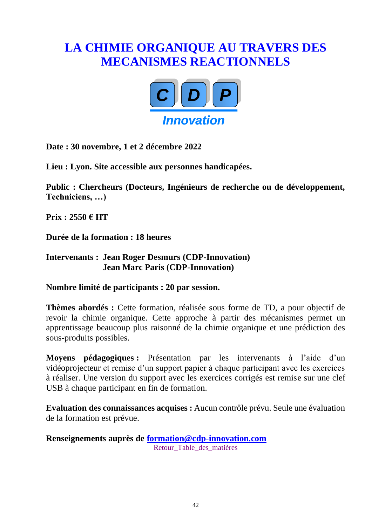## <span id="page-41-0"></span>**LA CHIMIE ORGANIQUE AU TRAVERS DES MECANISMES REACTIONNELS**



**Date : 30 novembre, 1 et 2 décembre 2022**

**Lieu : Lyon. Site accessible aux personnes handicapées.**

**Public : Chercheurs (Docteurs, Ingénieurs de recherche ou de développement, Techniciens, …)**

**Prix : 2550 € HT**

**Durée de la formation : 18 heures**

#### **Intervenants : Jean Roger Desmurs (CDP-Innovation) Jean Marc Paris (CDP-Innovation)**

#### **Nombre limité de participants : 20 par session.**

**Thèmes abordés :** Cette formation, réalisée sous forme de TD, a pour objectif de revoir la chimie organique. Cette approche à partir des mécanismes permet un apprentissage beaucoup plus raisonné de la chimie organique et une prédiction des sous-produits possibles.

**Moyens pédagogiques :** Présentation par les intervenants à l'aide d'un vidéoprojecteur et remise d'un support papier à chaque participant avec les exercices à réaliser. Une version du support avec les exercices corrigés est remise sur une clef USB à chaque participant en fin de formation.

**Evaluation des connaissances acquises :** Aucun contrôle prévu. Seule une évaluation de la formation est prévue.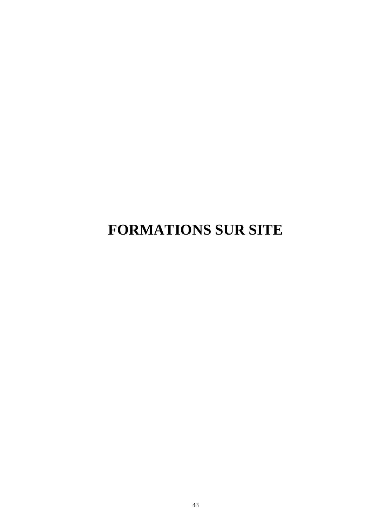## <span id="page-42-0"></span>**FORMATIONS SUR SITE**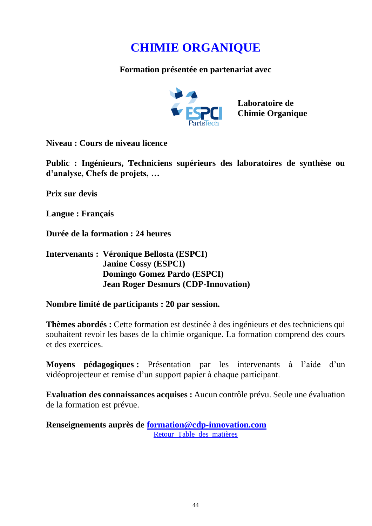## **CHIMIE ORGANIQUE**

<span id="page-43-0"></span>**Formation présentée en partenariat avec**



**Niveau : Cours de niveau licence**

**Public : Ingénieurs, Techniciens supérieurs des laboratoires de synthèse ou d'analyse, Chefs de projets, …**

**Prix sur devis**

**Langue : Français**

**Durée de la formation : 24 heures**

#### **Intervenants : Véronique Bellosta (ESPCI) Janine Cossy (ESPCI) Domingo Gomez Pardo (ESPCI) Jean Roger Desmurs (CDP-Innovation)**

**Nombre limité de participants : 20 par session.**

**Thèmes abordés :** Cette formation est destinée à des ingénieurs et des techniciens qui souhaitent revoir les bases de la chimie organique. La formation comprend des cours et des exercices.

**Moyens pédagogiques :** Présentation par les intervenants à l'aide d'un vidéoprojecteur et remise d'un support papier à chaque participant.

**Evaluation des connaissances acquises :** Aucun contrôle prévu. Seule une évaluation de la formation est prévue.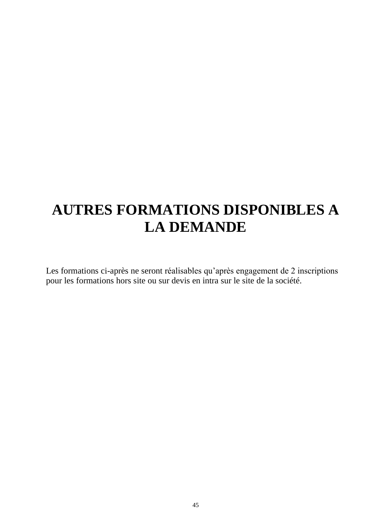## <span id="page-44-0"></span>**AUTRES FORMATIONS DISPONIBLES A LA DEMANDE**

Les formations ci-après ne seront réalisables qu'après engagement de 2 inscriptions pour les formations hors site ou sur devis en intra sur le site de la société.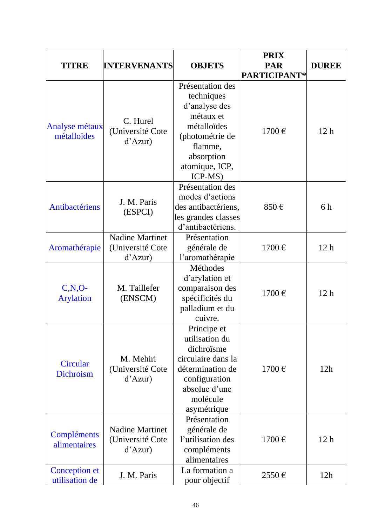| <b>TITRE</b>                           | <b>INTERVENANTS</b>                                   | <b>OBJETS</b>                                                                                                                                        | <b>PRIX</b><br><b>PAR</b><br>PARTICIPANT* | <b>DUREE</b>    |
|----------------------------------------|-------------------------------------------------------|------------------------------------------------------------------------------------------------------------------------------------------------------|-------------------------------------------|-----------------|
| <b>Analyse métaux</b><br>métalloïdes   | C. Hurel<br>(Université Cote<br>d'Azur)               | Présentation des<br>techniques<br>d'analyse des<br>métaux et<br>métalloïdes<br>(photométrie de<br>flamme,<br>absorption<br>atomique, ICP,<br>ICP-MS) | 1700€                                     | 12 <sub>h</sub> |
| <b>Antibactériens</b>                  | J. M. Paris<br>(ESPCI)                                | Présentation des<br>modes d'actions<br>des antibactériens,<br>les grandes classes<br>d'antibactériens.                                               | 850€                                      | 6h              |
| Aromathérapie                          | <b>Nadine Martinet</b><br>(Université Cote<br>d'Azur) | Présentation<br>générale de<br>l'aromathérapie                                                                                                       | 1700€                                     | 12 <sub>h</sub> |
| $C, N, O-$<br><b>Arylation</b>         | M. Taillefer<br>(ENSCM)                               | Méthodes<br>d'arylation et<br>comparaison des<br>spécificités du<br>palladium et du<br>cuivre.                                                       | 1700€                                     | 12 <sub>h</sub> |
| Circular<br>Dichroism                  | M. Mehiri<br>(Université Cote<br>d'Azur               | Principe et<br>utilisation du<br>dichroïsme<br>circulaire dans la<br>détermination de<br>configuration<br>absolue d'une<br>molécule<br>asymétrique   | 1700€                                     | 12h             |
| Compléments<br>alimentaires            | <b>Nadine Martinet</b><br>(Université Cote<br>d'Azur  | Présentation<br>générale de<br>l'utilisation des<br>compléments<br>alimentaires                                                                      | 1700€                                     | 12 <sub>h</sub> |
| <b>Conception et</b><br>utilisation de | J. M. Paris                                           | La formation a<br>pour objectif                                                                                                                      | $2550 \,\mathrm{E}$                       | 12h             |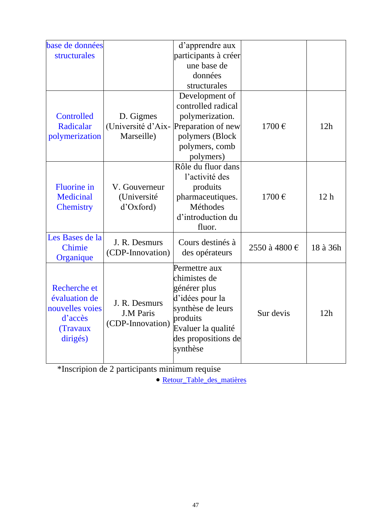| base de données    |                    | d'apprendre aux      |               |                 |
|--------------------|--------------------|----------------------|---------------|-----------------|
| structurales       |                    | participants à créer |               |                 |
|                    |                    | une base de          |               |                 |
|                    |                    | données              |               |                 |
|                    |                    | structurales         |               |                 |
|                    |                    | Development of       |               |                 |
|                    |                    | controlled radical   |               |                 |
| Controlled         | D. Gigmes          | polymerization.      |               |                 |
| Radicalar          | (Université d'Aix- | Preparation of new   | 1700€         | 12h             |
| polymerization     | Marseille)         | polymers (Block      |               |                 |
|                    |                    | polymers, comb       |               |                 |
|                    |                    | polymers)            |               |                 |
|                    |                    | Rôle du fluor dans   |               |                 |
|                    |                    | l'activité des       |               |                 |
| <b>Fluorine</b> in | V. Gouverneur      | produits             |               |                 |
| <b>Medicinal</b>   | (Université        | pharmaceutiques.     | 1700€         | 12 <sub>h</sub> |
| <b>Chemistry</b>   | d'Oxford)          | <b>Méthodes</b>      |               |                 |
|                    |                    | d'introduction du    |               |                 |
|                    |                    | fluor.               |               |                 |
| Les Bases de la    |                    |                      |               |                 |
| <b>Chimie</b>      | J. R. Desmurs      | Cours destinés à     | 2550 à 4800 € | 18 à 36h        |
| Organique          | (CDP-Innovation)   | des opérateurs       |               |                 |
|                    |                    | Permettre aux        |               |                 |
|                    |                    | chimistes de         |               |                 |
| Recherche et       |                    | générer plus         |               |                 |
| évaluation de      |                    | d'idées pour la      |               |                 |
| nouvelles voies    | J. R. Desmurs      | synthèse de leurs    |               |                 |
| d'accès            | <b>J.M Paris</b>   | produits             | Sur devis     | 12h             |
| (Travaux           | (CDP-Innovation)   | Evaluer la qualité   |               |                 |
| dirigés)           |                    | des propositions de  |               |                 |
|                    |                    | synthèse             |               |                 |
|                    |                    |                      |               |                 |

\*Inscripion de 2 participants minimum requise

• [Retour\\_Table\\_des\\_matières](#page-1-0)